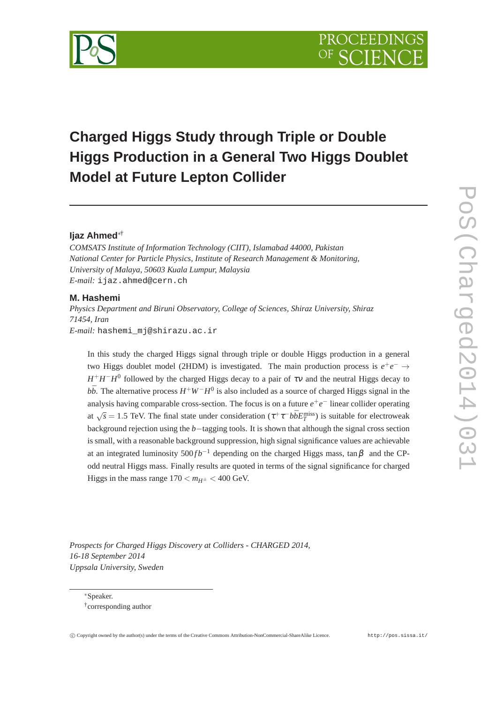

# **Charged Higgs Study through Triple or Double Higgs Production in a General Two Higgs Doublet Model at Future Lepton Collider**

# **Ijaz Ahmed**∗†

*COMSATS Institute of Information Technology (CIIT), Islamabad 44000, Pakistan National Center for Particle Physics, Institute of Research Management & Monitoring, University of Malaya, 50603 Kuala Lumpur, Malaysia E-mail:* ijaz.ahmed@cern.ch

#### **M. Hashemi**

*Physics Department and Biruni Observatory, College of Sciences, Shiraz University, Shiraz 71454, Iran E-mail:* hashemi\_mj@shirazu.ac.ir

In this study the charged Higgs signal through triple or double Higgs production in a general two Higgs doublet model (2HDM) is investigated. The main production process is  $e^+e^- \rightarrow$  $H^+H^-H^0$  followed by the charged Higgs decay to a pair of  $\tau v$  and the neutral Higgs decay to  $b\bar{b}$ . The alternative process  $H^+W^-H^0$  is also included as a source of charged Higgs signal in the analysis having comparable cross-section. The focus is on a future  $e^+e^-$  linear collider operating at  $\sqrt{s} = 1.5$  TeV. The final state under consideration  $(\tau^+ \tau^- b \bar{b} E_T^{\text{miss}})$  is suitable for electroweak background rejection using the *b*−tagging tools. It is shown that although the signal cross section is small, with a reasonable background suppression, high signal significance values are achievable at an integrated luminosity  $500 fb^{-1}$  depending on the charged Higgs mass, tan $\beta$  and the CPodd neutral Higgs mass. Finally results are quoted in terms of the signal significance for charged Higgs in the mass range  $170 < m_{H^{\pm}} < 400$  GeV.

*Prospects for Charged Higgs Discovery at Colliders - CHARGED 2014, 16-18 September 2014 Uppsala University, Sweden*

∗Speaker.

<sup>†</sup> corresponding author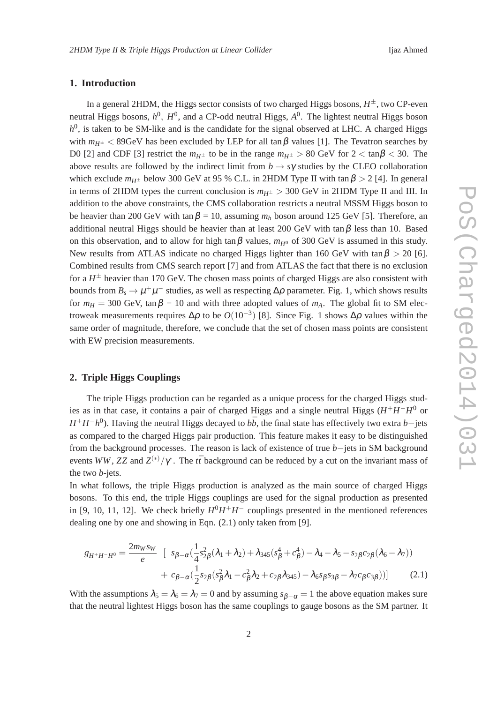## **1. Introduction**

In a general 2HDM, the Higgs sector consists of two charged Higgs bosons, *H* ±, two CP-even neutral Higgs bosons,  $h^0$ ,  $H^0$ , and a CP-odd neutral Higgs,  $A^0$ . The lightest neutral Higgs boson *h*<sup>0</sup>, is taken to be SM-like and is the candidate for the signal observed at LHC. A charged Higgs with  $m_{H^{\pm}}$  < 89GeV has been excluded by LEP for all tan  $\beta$  values [1]. The Tevatron searches by D0 [2] and CDF [3] restrict the  $m_{H^{\pm}}$  to be in the range  $m_{H^{\pm}} > 80$  GeV for  $2 < \tan \beta < 30$ . The above results are followed by the indirect limit from  $b \to s\gamma$  studies by the CLEO collaboration which exclude  $m_{H^{\pm}}$  below 300 GeV at 95 % C.L. in 2HDM Type II with tan  $\beta > 2$  [4]. In general in terms of 2HDM types the current conclusion is  $m_{H^{\pm}} > 300$  GeV in 2HDM Type II and III. In addition to the above constraints, the CMS collaboration restricts a neutral MSSM Higgs boson to be heavier than 200 GeV with tan  $\beta = 10$ , assuming  $m_h$  boson around 125 GeV [5]. Therefore, an additional neutral Higgs should be heavier than at least 200 GeV with  $\tan \beta$  less than 10. Based on this observation, and to allow for high tan  $\beta$  values,  $m_{H^0}$  of 300 GeV is assumed in this study. New results from ATLAS indicate no charged Higgs lighter than 160 GeV with tan  $\beta > 20$  [6]. Combined results from CMS search report [7] and from ATLAS the fact that there is no exclusion for a  $H^{\pm}$  heavier than 170 GeV. The chosen mass points of charged Higgs are also consistent with bounds from  $B_s \to \mu^+\mu^-$  studies, as well as respecting  $\Delta\rho$  parameter. Fig. 1, which shows results for  $m_H = 300$  GeV, tan  $\beta = 10$  and with three adopted values of  $m_A$ . The global fit to SM electroweak measurements requires  $\Delta \rho$  to be  $O(10^{-3})$  [8]. Since Fig. 1 shows  $\Delta \rho$  values within the same order of magnitude, therefore, we conclude that the set of chosen mass points are consistent with EW precision measurements.

#### **2. Triple Higgs Couplings**

The triple Higgs production can be regarded as a unique process for the charged Higgs studies as in that case, it contains a pair of charged Higgs and a single neutral Higgs (*H* <sup>+</sup>*H* −*H* <sup>0</sup> or *H*<sup>+</sup>*H*<sup>−</sup>*h*<sup>0</sup>). Having the neutral Higgs decayed to *b*<sup>b</sup>, the final state has effectively two extra *b*−jets as compared to the charged Higgs pair production. This feature makes it easy to be distinguished from the background processes. The reason is lack of existence of true *b*−jets in SM background events *WW*, *ZZ* and  $Z^{(*)}/\gamma^*$ . The *tt*<sup> $t$ </sup> background can be reduced by a cut on the invariant mass of the two *b*-jets.

In what follows, the triple Higgs production is analyzed as the main source of charged Higgs bosons. To this end, the triple Higgs couplings are used for the signal production as presented in [9, 10, 11, 12]. We check briefly  $H^0H^+H^-$  couplings presented in the mentioned references dealing one by one and showing in Eqn. (2.1) only taken from [9].

$$
g_{H^{+}H^{-}H^{0}} = \frac{2m_{W}s_{W}}{e} \left[ s_{\beta-\alpha}(\frac{1}{4}s_{2\beta}^{2}(\lambda_{1}+\lambda_{2})+\lambda_{345}(s_{\beta}^{4}+c_{\beta}^{4})-\lambda_{4}-\lambda_{5}-s_{2\beta}c_{2\beta}(\lambda_{6}-\lambda_{7})) + c_{\beta-\alpha}(\frac{1}{2}s_{2\beta}(s_{\beta}^{2}\lambda_{1}-c_{\beta}^{2}\lambda_{2}+c_{2\beta}\lambda_{345})-\lambda_{6}s_{\beta}s_{3\beta}-\lambda_{7}c_{\beta}c_{3\beta}) \right]
$$
(2.1)

With the assumptions  $\lambda_5 = \lambda_6 = \lambda_7 = 0$  and by assuming  $s_{\beta-\alpha} = 1$  the above equation makes sure that the neutral lightest Higgs boson has the same couplings to gauge bosons as the SM partner. It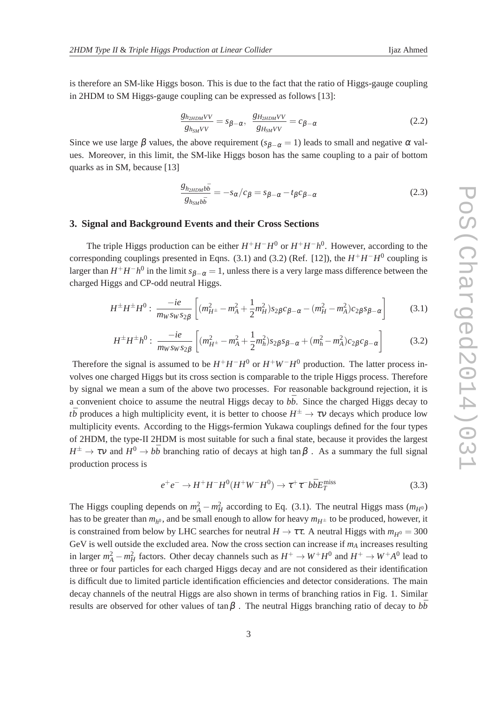is therefore an SM-like Higgs boson. This is due to the fact that the ratio of Higgs-gauge coupling in 2HDM to SM Higgs-gauge coupling can be expressed as follows [13]:

$$
\frac{g_{h_{2HDM}VV}}{g_{h_{SM}VV}} = s_{\beta - \alpha}, \quad \frac{g_{H_{2HDM}VV}}{g_{H_{SM}VV}} = c_{\beta - \alpha} \tag{2.2}
$$

Since we use large  $\beta$  values, the above requirement ( $s_{\beta-\alpha} = 1$ ) leads to small and negative  $\alpha$  values. Moreover, in this limit, the SM-like Higgs boson has the same coupling to a pair of bottom quarks as in SM, because [13]

$$
\frac{g_{h_{2HDM}b\bar{b}}}{g_{h_{SM}b\bar{b}}} = -s_{\alpha}/c_{\beta} = s_{\beta-\alpha} - t_{\beta}c_{\beta-\alpha}
$$
 (2.3)

#### **3. Signal and Background Events and their Cross Sections**

The triple Higgs production can be either  $H^+H^-H^0$  or  $H^+H^-h^0$ . However, according to the corresponding couplings presented in Eqns. (3.1) and (3.2) (Ref. [12]), the  $H^+H^-H^0$  coupling is larger than  $H^+H^-h^0$  in the limit  $s_{\beta-\alpha}=1$ , unless there is a very large mass difference between the charged Higgs and CP-odd neutral Higgs.

$$
H^{\pm}H^{\pm}H^{0}: \frac{-ie}{m_W s_W s_{2\beta}} \left[ (m_{H^{\pm}}^2 - m_A^2 + \frac{1}{2} m_H^2) s_{2\beta} c_{\beta - \alpha} - (m_H^2 - m_A^2) c_{2\beta} s_{\beta - \alpha} \right]
$$
(3.1)

$$
H^{\pm}H^{\pm}h^{0}: \frac{-ie}{m_W s_W s_{2\beta}} \left[ (m_{H^{\pm}}^2 - m_A^2 + \frac{1}{2}m_h^2)s_{2\beta} s_{\beta - \alpha} + (m_h^2 - m_A^2)c_{2\beta} c_{\beta - \alpha} \right]
$$
(3.2)

Therefore the signal is assumed to be  $H^+H^-H^0$  or  $H^+W^-H^0$  production. The latter process involves one charged Higgs but its cross section is comparable to the triple Higgs process. Therefore by signal we mean a sum of the above two processes. For reasonable background rejection, it is a convenient choice to assume the neutral Higgs decay to  $b\bar{b}$ . Since the charged Higgs decay to *t* $\bar{b}$  produces a high multiplicity event, it is better to choose  $H^{\pm} \to \tau \nu$  decays which produce low multiplicity events. According to the Higgs-fermion Yukawa couplings defined for the four types of 2HDM, the type-II 2HDM is most suitable for such a final state, because it provides the largest  $H^{\pm} \to \tau \nu$  and  $H^0 \to b\bar{b}$  branching ratio of decays at high tan  $\beta$ . As a summary the full signal production process is

$$
e^+e^- \to H^+H^-H^0(H^+W^-H^0) \to \tau^+\tau^-b\bar{b}E_T^{\text{miss}} \tag{3.3}
$$

The Higgs coupling depends on  $m_A^2 - m_H^2$  according to Eq. (3.1). The neutral Higgs mass  $(m_{H^0})$ has to be greater than  $m_{h^0}$ , and be small enough to allow for heavy  $m_{H^\pm}$  to be produced, however, it is constrained from below by LHC searches for neutral  $H \to \tau \tau$ . A neutral Higgs with  $m_{H^0} = 300$ GeV is well outside the excluded area. Now the cross section can increase if *m<sup>A</sup>* increases resulting in larger  $m_A^2 - m_H^2$  factors. Other decay channels such as  $H^+ \to W^+H^0$  and  $H^+ \to W^+A^0$  lead to three or four particles for each charged Higgs decay and are not considered as their identification is difficult due to limited particle identification efficiencies and detector considerations. The main decay channels of the neutral Higgs are also shown in terms of branching ratios in Fig. 1. Similar results are observed for other values of tan $\beta$ . The neutral Higgs branching ratio of decay to  $b\bar{b}$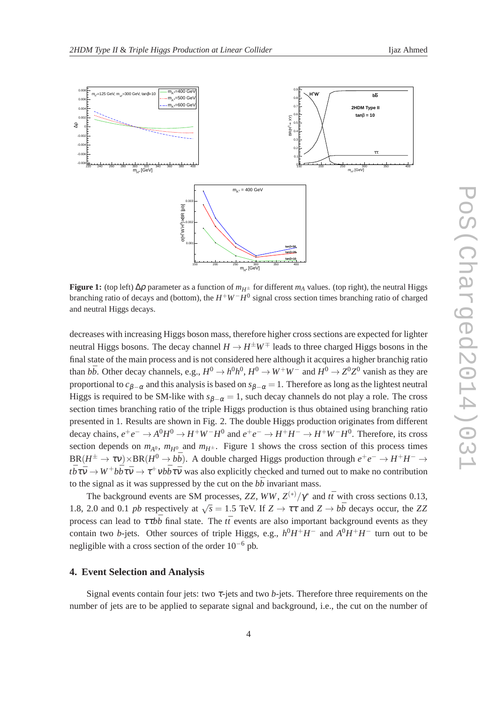

**Figure 1:** (top left)  $\Delta \rho$  parameter as a function of  $m_{H^{\pm}}$  for different  $m_A$  values. (top right), the neutral Higgs branching ratio of decays and (bottom), the *H* <sup>+</sup>*W*−*H* 0 signal cross section times branching ratio of charged and neutral Higgs decays.

decreases with increasing Higgs boson mass, therefore higher cross sections are expected for lighter neutral Higgs bosons. The decay channel  $H \to H^{\pm}W^{\mp}$  leads to three charged Higgs bosons in the final state of the main process and is not considered here although it acquires a higher branchig ratio than  $b\bar{b}$ . Other decay channels, e.g.,  $H^0 \to h^0h^0$ ,  $H^0 \to W^+W^-$  and  $H^0 \to Z^0Z^0$  vanish as they are proportional to  $c_{\beta-\alpha}$  and this analysis is based on  $s_{\beta-\alpha}=1$ . Therefore as long as the lightest neutral Higgs is required to be SM-like with  $s_{\beta-\alpha} = 1$ , such decay channels do not play a role. The cross section times branching ratio of the triple Higgs production is thus obtained using branching ratio presented in 1. Results are shown in Fig. 2. The double Higgs production originates from different decay chains,  $e^+e^- \to A^0H^0 \to H^+W^-H^0$  and  $e^+e^- \to H^+H^- \to H^+W^-H^0$ . Therefore, its cross section depends on  $m_{A^0}$ ,  $m_{H^0}$  and  $m_{H^{\pm}}$ . Figure 1 shows the cross section of this process times  $BR(H^{\pm} \to \tau \nu) \times BR(H^0 \to b\bar{b})$ . A double charged Higgs production through  $e^+e^- \to H^+H^- \to b\bar{b}$ .  $t\bar{b}\tau\bar{v}\to W^+b\bar{b}\tau\bar{v}\to\tau^+v b\bar{b}\tau\bar{v}$  was also explicitly checked and turned out to make no contribution to the signal as it was suppressed by the cut on the  $b\bar{b}$  invariant mass.

The background events are SM processes, *ZZ*,  $WW$ ,  $Z^{(*)}/\gamma^*$  and  $t\bar{t}$  with cross sections 0.13, 1.8, 2.0 and 0.1 *pb* respectively at  $\sqrt{s} = 1.5$  TeV. If  $Z \to \tau \tau$  and  $Z \to b\bar{b}$  decays occur, the ZZ process can lead to  $\tau t b \bar{b}$  final state. The  $t\bar{t}$  events are also important background events as they contain two *b*-jets. Other sources of triple Higgs, e.g.,  $h^0H^+H^-$  and  $A^0H^+H^-$  turn out to be negligible with a cross section of the order  $10^{-6}$  pb.

## **4. Event Selection and Analysis**

Signal events contain four jets: two  $\tau$ -jets and two  $b$ -jets. Therefore three requirements on the number of jets are to be applied to separate signal and background, i.e., the cut on the number of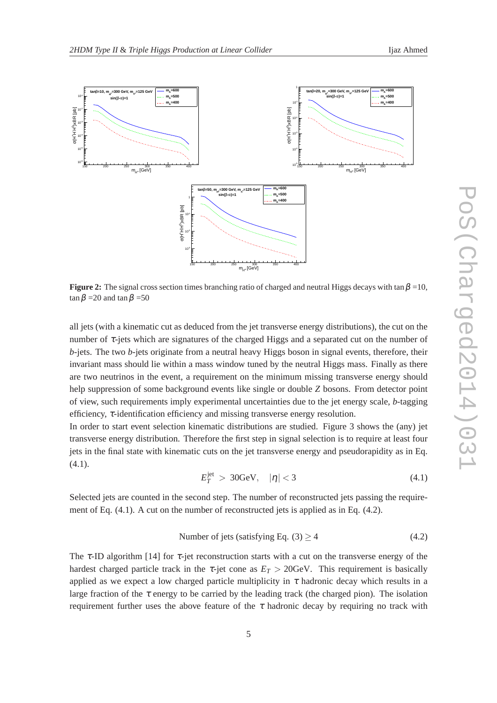

**Figure 2:** The signal cross section times branching ratio of charged and neutral Higgs decays with tan  $\beta = 10$ ,  $\tan \beta = 20$  and  $\tan \beta = 50$ 

all jets (with a kinematic cut as deduced from the jet transverse energy distributions), the cut on the number of  $\tau$ -jets which are signatures of the charged Higgs and a separated cut on the number of *b*-jets. The two *b*-jets originate from a neutral heavy Higgs boson in signal events, therefore, their invariant mass should lie within a mass window tuned by the neutral Higgs mass. Finally as there are two neutrinos in the event, a requirement on the minimum missing transverse energy should help suppression of some background events like single or double *Z* bosons. From detector point of view, such requirements imply experimental uncertainties due to the jet energy scale, *b*-tagging efficiency, <sup>τ</sup>-identification efficiency and missing transverse energy resolution.

In order to start event selection kinematic distributions are studied. Figure 3 shows the (any) jet transverse energy distribution. Therefore the first step in signal selection is to require at least four jets in the final state with kinematic cuts on the jet transverse energy and pseudorapidity as in Eq.  $(4.1).$ 

$$
E_T^{\text{jet}} > 30 \text{GeV}, \quad |\eta| < 3 \tag{4.1}
$$

Selected jets are counted in the second step. The number of reconstructed jets passing the requirement of Eq. (4.1). A cut on the number of reconstructed jets is applied as in Eq. (4.2).

Number of jets (satisfying Eq. (3) 
$$
\geq 4
$$
 (4.2)

The  $\tau$ -ID algorithm [14] for  $\tau$ -jet reconstruction starts with a cut on the transverse energy of the hardest charged particle track in the  $\tau$ -jet cone as  $E_T > 20$ GeV. This requirement is basically applied as we expect a low charged particle multiplicity in  $\tau$  hadronic decay which results in a large fraction of the  $\tau$  energy to be carried by the leading track (the charged pion). The isolation requirement further uses the above feature of the  $\tau$  hadronic decay by requiring no track with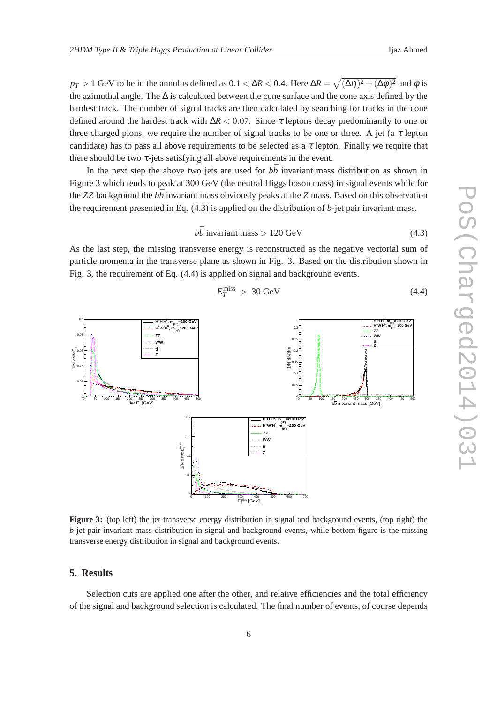$p_T > 1$  GeV to be in the annulus defined as  $0.1 < \Delta R < 0.4$ . Here  $\Delta R = \sqrt{(\Delta \eta)^2 + (\Delta \phi)^2}$  and  $\phi$  is the azimuthal angle. The ∆ is calculated between the cone surface and the cone axis defined by the hardest track. The number of signal tracks are then calculated by searching for tracks in the cone defined around the hardest track with  $\Delta R < 0.07$ . Since  $\tau$  leptons decay predominantly to one or three charged pions, we require the number of signal tracks to be one or three. A jet (a  $\tau$  lepton candidate) has to pass all above requirements to be selected as a  $\tau$  lepton. Finally we require that there should be two  $\tau$ -jets satisfying all above requirements in the event.

In the next step the above two jets are used for  $b\bar{b}$  invariant mass distribution as shown in Figure 3 which tends to peak at 300 GeV (the neutral Higgs boson mass) in signal events while for the *ZZ* background the  $b\bar{b}$  invariant mass obviously peaks at the *Z* mass. Based on this observation the requirement presented in Eq. (4.3) is applied on the distribution of *b*-jet pair invariant mass.

$$
b\bar{b} \text{ invariant mass} > 120 \text{ GeV} \tag{4.3}
$$

As the last step, the missing transverse energy is reconstructed as the negative vectorial sum of particle momenta in the transverse plane as shown in Fig. 3. Based on the distribution shown in Fig. 3, the requirement of Eq. (4.4) is applied on signal and background events.

$$
E_T^{\text{miss}} > 30 \text{ GeV} \tag{4.4}
$$



**Figure 3:** (top left) the jet transverse energy distribution in signal and background events, (top right) the *b*-jet pair invariant mass distribution in signal and background events, while bottom figure is the missing transverse energy distribution in signal and background events.

#### **5. Results**

Selection cuts are applied one after the other, and relative efficiencies and the total efficiency of the signal and background selection is calculated. The final number of events, of course depends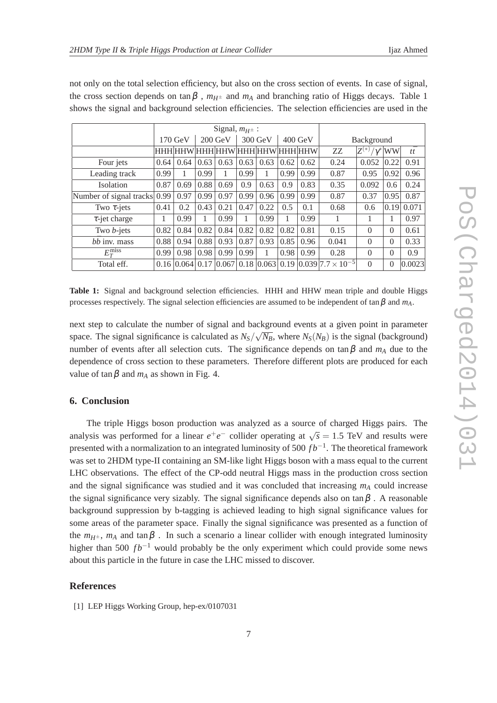|                         | Signal, $m_{H^{\pm}}$ : |                              |                   |                     |           |                                 |           |      |                                                               |                            |          |            |
|-------------------------|-------------------------|------------------------------|-------------------|---------------------|-----------|---------------------------------|-----------|------|---------------------------------------------------------------|----------------------------|----------|------------|
|                         | $170 \text{ GeV}$       |                              | $200 \text{ GeV}$ |                     | $300$ GeV |                                 | $400$ GeV |      | Background                                                    |                            |          |            |
|                         |                         |                              |                   |                     |           | HHH HHW HHH HHW HHH HHW HHH HHW |           |      | ZZ.                                                           | $Z^{(*)}$<br>$/\gamma^{*}$ | WW       | $t\bar{t}$ |
| Four jets               | 0.64                    | 0.64                         | 0.63              | 0.63                | 0.63      | 0.63                            | 0.62      | 0.62 | 0.24                                                          | 0.052                      | 0.22     | 0.91       |
| Leading track           | 0.99                    |                              | 0.99              |                     | 0.99      |                                 | 0.99      | 0.99 | 0.87                                                          | 0.95                       | 0.92     | 0.96       |
| <b>Isolation</b>        | 0.87                    | 0.69                         | 0.88              | 0.69                | 0.9       | 0.63                            | 0.9       | 0.83 | 0.35                                                          | 0.092                      | 0.6      | 0.24       |
| Number of signal tracks | 0.99                    | 0.97                         | 0.99              | 0.97                | 0.99      | 0.96                            | 0.99      | 0.99 | 0.87                                                          | 0.37                       | 0.95     | 0.87       |
| Two $\tau$ -jets        | 0.41                    | 0.2                          | 0.43              | 0.21                | 0.47      | 0.22                            | 0.5       | 0.1  | 0.68                                                          | 0.6                        | 0.19     | 0.071      |
| $\tau$ -jet charge      | 1                       | 0.99                         |                   | 0.99                | 1         | 0.99                            |           | 0.99 | 1                                                             |                            |          | 0.97       |
| Two $b$ -jets           | 0.82                    | 0.84                         | 0.82              | 0.84                | 0.82      | 0.82                            | 0.82      | 0.81 | 0.15                                                          | $\Omega$                   | $\theta$ | 0.61       |
| $b\bar{b}$ inv. mass    | 0.88                    | 0.94                         | 0.88              | 0.93                | 0.87      | 0.93                            | 0.85      | 0.96 | 0.041                                                         | $\Omega$                   | $\Omega$ | 0.33       |
| $E_T^{\text{miss}}$     | 0.99                    | 0.98                         | 0.98              | 0.99                | 0.99      |                                 | 0.98      | 0.99 | 0.28                                                          | $\Omega$                   | $\Omega$ | 0.9        |
| Total eff.              |                         | $0.16 \,   \, 0.064 \,   \,$ |                   | $0.17 \,   0.067  $ |           |                                 |           |      | $0.18$   0.063   0.19   0.039   7.7 $\times$ 10 <sup>-5</sup> | 0                          | $\theta$ | 0.0023     |

not only on the total selection efficiency, but also on the cross section of events. In case of signal, the cross section depends on tan $\beta$ ,  $m_{H^{\pm}}$  and  $m_A$  and branching ratio of Higgs decays. Table 1 shows the signal and background selection efficiencies. The selection efficiencies are used in the

**Table 1:** Signal and background selection efficiencies. HHH and HHW mean triple and double Higgs processes respectively. The signal selection efficiencies are assumed to be independent of  $\tan \beta$  and  $m_A$ .

next step to calculate the number of signal and background events at a given point in parameter space. The signal significance is calculated as  $N_S/\sqrt{N_B}$ , where  $N_S(N_B)$  is the signal (background) number of events after all selection cuts. The significance depends on  $\tan \beta$  and  $m_A$  due to the dependence of cross section to these parameters. Therefore different plots are produced for each value of  $\tan \beta$  and  $m_A$  as shown in Fig. 4.

# **6. Conclusion**

The triple Higgs boson production was analyzed as a source of charged Higgs pairs. The analysis was performed for a linear  $e^+e^-$  collider operating at  $\sqrt{s} = 1.5$  TeV and results were presented with a normalization to an integrated luminosity of 500 *fb*<sup>−1</sup>. The theoretical framework was set to 2HDM type-II containing an SM-like light Higgs boson with a mass equal to the current LHC observations. The effect of the CP-odd neutral Higgs mass in the production cross section and the signal significance was studied and it was concluded that increasing *m<sup>A</sup>* could increase the signal significance very sizably. The signal significance depends also on  $\tan \beta$ . A reasonable background suppression by b-tagging is achieved leading to high signal significance values for some areas of the parameter space. Finally the signal significance was presented as a function of the  $m_{H^{\pm}}$ ,  $m_A$  and tan $\beta$ . In such a scenario a linear collider with enough integrated luminosity higher than 500 *fb*<sup>−1</sup> would probably be the only experiment which could provide some news about this particle in the future in case the LHC missed to discover.

## **References**

[1] LEP Higgs Working Group, hep-ex/0107031